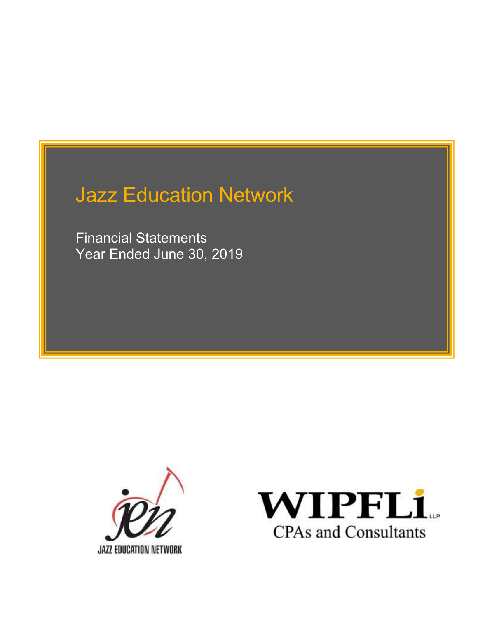Financial Statements Year Ended June 30, 2019



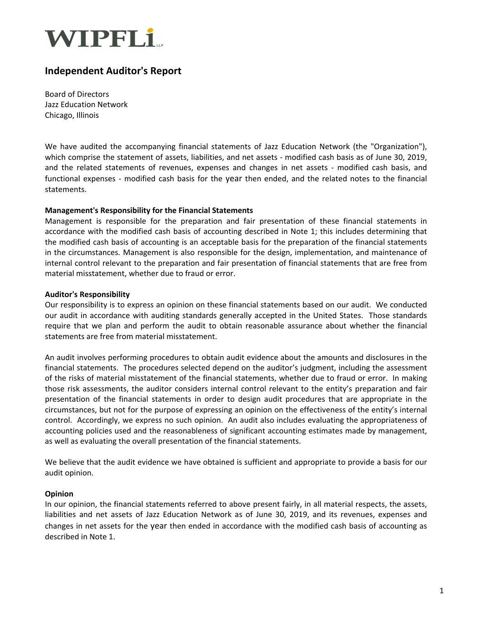

## **Independent Auditor's Report**

Board of Directors Jazz Education Network Chicago, Illinois

We have audited the accompanying financial statements of Jazz Education Network (the "Organization"), which comprise the statement of assets, liabilities, and net assets - modified cash basis as of June 30, 2019, and the related statements of revenues, expenses and changes in net assets - modified cash basis, and functional expenses - modified cash basis for the year then ended, and the related notes to the financial statements.

#### **Management's Responsibility for the Financial Statements**

Management is responsible for the preparation and fair presentation of these financial statements in accordance with the modified cash basis of accounting described in Note 1; this includes determining that the modified cash basis of accounting is an acceptable basis for the preparation of the financial statements in the circumstances. Management is also responsible for the design, implementation, and maintenance of internal control relevant to the preparation and fair presentation of financial statements that are free from material misstatement, whether due to fraud or error.

#### **Auditor's Responsibility**

Our responsibility is to express an opinion on these financial statements based on our audit. We conducted our audit in accordance with auditing standards generally accepted in the United States. Those standards require that we plan and perform the audit to obtain reasonable assurance about whether the financial statements are free from material misstatement.

An audit involves performing procedures to obtain audit evidence about the amounts and disclosures in the financial statements. The procedures selected depend on the auditor's judgment, including the assessment of the risks of material misstatement of the financial statements, whether due to fraud or error. In making those risk assessments, the auditor considers internal control relevant to the entity's preparation and fair presentation of the financial statements in order to design audit procedures that are appropriate in the circumstances, but not for the purpose of expressing an opinion on the effectiveness of the entity's internal control. Accordingly, we express no such opinion. An audit also includes evaluating the appropriateness of accounting policies used and the reasonableness of significant accounting estimates made by management, as well as evaluating the overall presentation of the financial statements.

We believe that the audit evidence we have obtained is sufficient and appropriate to provide a basis for our audit opinion.

#### **Opinion**

In our opinion, the financial statements referred to above present fairly, in all material respects, the assets, liabilities and net assets of Jazz Education Network as of June 30, 2019, and its revenues, expenses and changes in net assets for the year then ended in accordance with the modified cash basis of accounting as described in Note 1.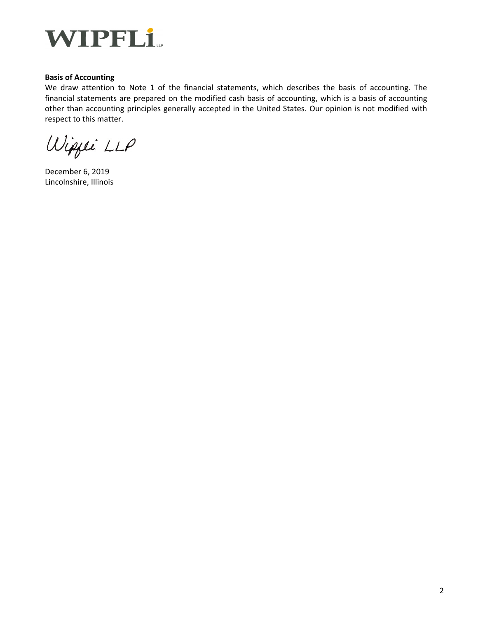

#### **Basis of Accounting**

We draw attention to Note 1 of the financial statements, which describes the basis of accounting. The financial statements are prepared on the modified cash basis of accounting, which is a basis of accounting other than accounting principles generally accepted in the United States. Our opinion is not modified with respect to this matter.

Wippei LLP

December 6, 2019 Lincolnshire, Illinois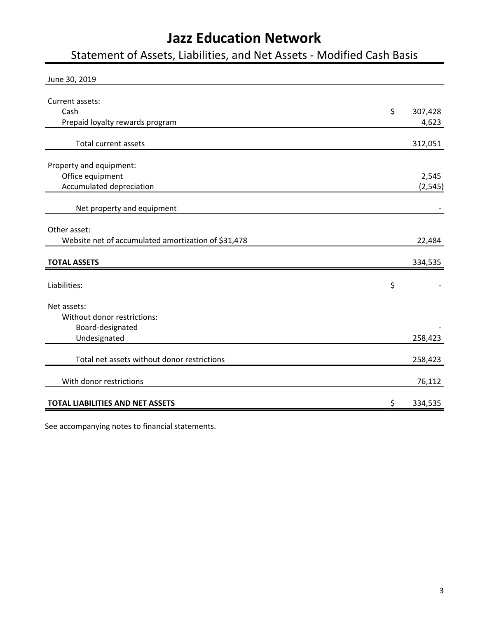Statement of Assets, Liabilities, and Net Assets - Modified Cash Basis

| June 30, 2019                                       |               |
|-----------------------------------------------------|---------------|
| Current assets:                                     |               |
| Cash                                                | \$<br>307,428 |
| Prepaid loyalty rewards program                     | 4,623         |
|                                                     |               |
| <b>Total current assets</b>                         | 312,051       |
| Property and equipment:                             |               |
| Office equipment                                    | 2,545         |
| Accumulated depreciation                            | (2, 545)      |
| Net property and equipment                          |               |
| Other asset:                                        |               |
| Website net of accumulated amortization of \$31,478 | 22,484        |
| <b>TOTAL ASSETS</b>                                 | 334,535       |
|                                                     |               |
| Liabilities:                                        | \$            |
| Net assets:                                         |               |
| Without donor restrictions:                         |               |
| Board-designated                                    |               |
| Undesignated                                        | 258,423       |
| Total net assets without donor restrictions         | 258,423       |
|                                                     |               |
| With donor restrictions                             | 76,112        |
| <b>TOTAL LIABILITIES AND NET ASSETS</b>             | \$<br>334,535 |

See accompanying notes to financial statements.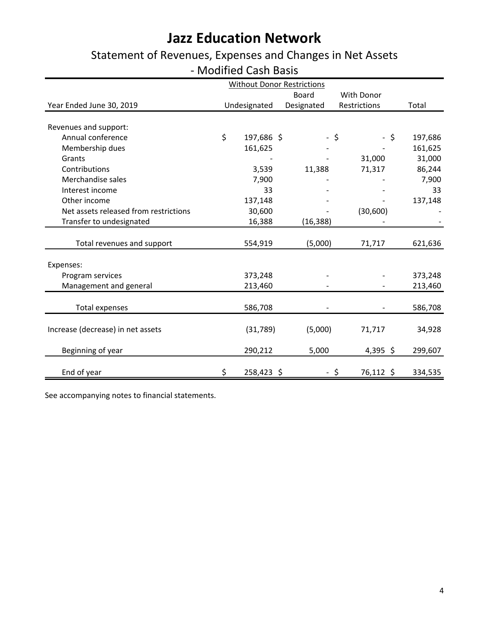## Statement of Revenues, Expenses and Changes in Net Assets - Modified Cash Basis

| <b>Without Donor Restrictions</b>     |    |              |              |                   |         |  |
|---------------------------------------|----|--------------|--------------|-------------------|---------|--|
|                                       |    |              | <b>Board</b> | With Donor        |         |  |
| Year Ended June 30, 2019              |    | Undesignated | Designated   | Restrictions      | Total   |  |
|                                       |    |              |              |                   |         |  |
| Revenues and support:                 |    |              |              |                   |         |  |
| Annual conference                     | \$ | 197,686 \$   |              | \$<br>- \$        | 197,686 |  |
| Membership dues                       |    | 161,625      |              |                   | 161,625 |  |
| Grants                                |    |              |              | 31,000            | 31,000  |  |
| Contributions                         |    | 3,539        | 11,388       | 71,317            | 86,244  |  |
| Merchandise sales                     |    | 7,900        |              |                   | 7,900   |  |
| Interest income                       |    | 33           |              |                   | 33      |  |
| Other income                          |    | 137,148      |              |                   | 137,148 |  |
| Net assets released from restrictions |    | 30,600       |              | (30,600)          |         |  |
| Transfer to undesignated              |    | 16,388       | (16, 388)    |                   |         |  |
|                                       |    |              |              |                   |         |  |
| Total revenues and support            |    | 554,919      | (5,000)      | 71,717            | 621,636 |  |
|                                       |    |              |              |                   |         |  |
| Expenses:                             |    |              |              |                   |         |  |
| Program services                      |    | 373,248      |              |                   | 373,248 |  |
| Management and general                |    | 213,460      |              |                   | 213,460 |  |
|                                       |    |              |              |                   |         |  |
| <b>Total expenses</b>                 |    | 586,708      |              |                   | 586,708 |  |
|                                       |    |              |              |                   |         |  |
| Increase (decrease) in net assets     |    | (31,789)     | (5,000)      | 71,717            | 34,928  |  |
|                                       |    |              |              |                   |         |  |
| Beginning of year                     |    | 290,212      | 5,000        | 4,395 \$          | 299,607 |  |
|                                       |    |              |              |                   |         |  |
| End of year                           | \$ | 258,423 \$   |              | 76,112 \$<br>- \$ | 334,535 |  |

See accompanying notes to financial statements.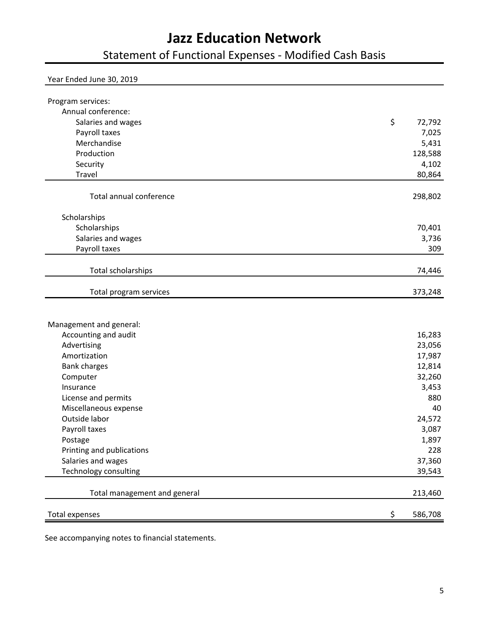Statement of Functional Expenses - Modified Cash Basis

| Year Ended June 30, 2019     |               |
|------------------------------|---------------|
| Program services:            |               |
| Annual conference:           |               |
| Salaries and wages           | \$<br>72,792  |
| Payroll taxes                | 7,025         |
| Merchandise                  | 5,431         |
| Production                   | 128,588       |
| Security                     | 4,102         |
| Travel                       | 80,864        |
|                              |               |
| Total annual conference      | 298,802       |
| Scholarships                 |               |
| Scholarships                 | 70,401        |
| Salaries and wages           | 3,736         |
| Payroll taxes                | 309           |
| <b>Total scholarships</b>    | 74,446        |
|                              |               |
| Total program services       | 373,248       |
|                              |               |
| Management and general:      |               |
| Accounting and audit         | 16,283        |
| Advertising                  | 23,056        |
| Amortization                 | 17,987        |
| <b>Bank charges</b>          | 12,814        |
| Computer                     | 32,260        |
| Insurance                    | 3,453         |
| License and permits          | 880           |
| Miscellaneous expense        | 40            |
| Outside labor                | 24,572        |
| Payroll taxes                | 3,087         |
| Postage                      | 1,897         |
| Printing and publications    | 228           |
| Salaries and wages           | 37,360        |
| <b>Technology consulting</b> | 39,543        |
| Total management and general | 213,460       |
|                              |               |
| <b>Total expenses</b>        | \$<br>586,708 |

See accompanying notes to financial statements.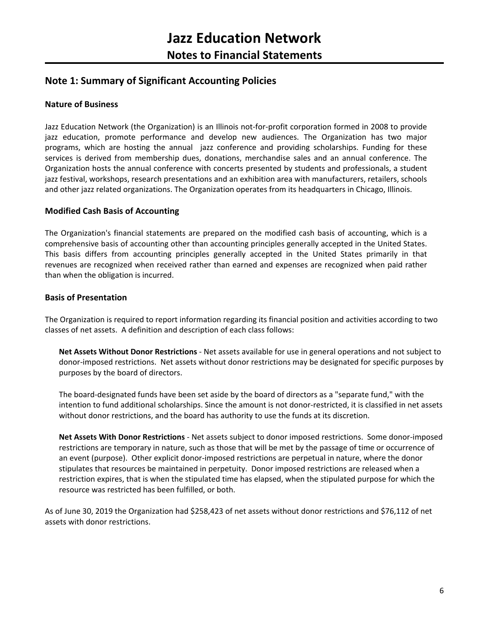## **Note 1: Summary of Significant Accounting Policies**

#### **Nature of Business**

Jazz Education Network (the Organization) is an Illinois not-for-profit corporation formed in 2008 to provide jazz education, promote performance and develop new audiences. The Organization has two major programs, which are hosting the annual jazz conference and providing scholarships. Funding for these services is derived from membership dues, donations, merchandise sales and an annual conference. The Organization hosts the annual conference with concerts presented by students and professionals, a student jazz festival, workshops, research presentations and an exhibition area with manufacturers, retailers, schools and other jazz related organizations. The Organization operates from its headquarters in Chicago, Illinois.

#### **Modified Cash Basis of Accounting**

The Organization's financial statements are prepared on the modified cash basis of accounting, which is a comprehensive basis of accounting other than accounting principles generally accepted in the United States. This basis differs from accounting principles generally accepted in the United States primarily in that revenues are recognized when received rather than earned and expenses are recognized when paid rather than when the obligation is incurred.

#### **Basis of Presentation**

The Organization is required to report information regarding its financial position and activities according to two classes of net assets. A definition and description of each class follows:

**Net Assets Without Donor Restrictions** - Net assets available for use in general operations and not subject to donor-imposed restrictions. Net assets without donor restrictions may be designated for specific purposes by purposes by the board of directors.

The board-designated funds have been set aside by the board of directors as a "separate fund," with the intention to fund additional scholarships. Since the amount is not donor-restricted, it is classified in net assets without donor restrictions, and the board has authority to use the funds at its discretion.

**Net Assets With Donor Restrictions** - Net assets subject to donor imposed restrictions. Some donor-imposed restrictions are temporary in nature, such as those that will be met by the passage of time or occurrence of an event (purpose). Other explicit donor-imposed restrictions are perpetual in nature, where the donor stipulates that resources be maintained in perpetuity. Donor imposed restrictions are released when a restriction expires, that is when the stipulated time has elapsed, when the stipulated purpose for which the resource was restricted has been fulfilled, or both.

As of June 30, 2019 the Organization had \$258,423 of net assets without donor restrictions and \$76,112 of net assets with donor restrictions.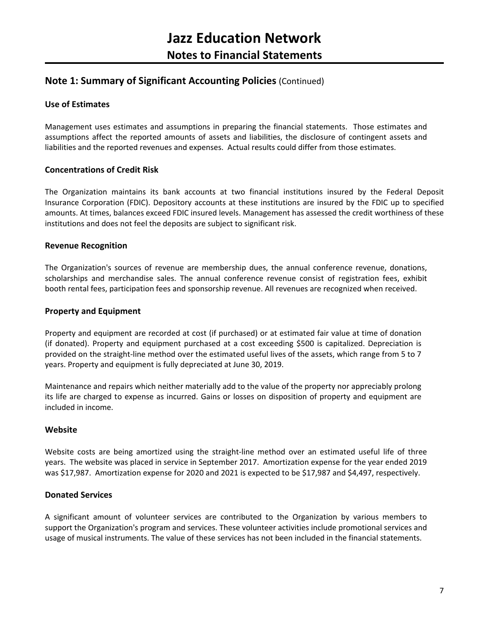## **Note 1: Summary of Significant Accounting Policies** (Continued)

#### **Use of Estimates**

Management uses estimates and assumptions in preparing the financial statements. Those estimates and assumptions affect the reported amounts of assets and liabilities, the disclosure of contingent assets and liabilities and the reported revenues and expenses. Actual results could differ from those estimates.

#### **Concentrations of Credit Risk**

The Organization maintains its bank accounts at two financial institutions insured by the Federal Deposit Insurance Corporation (FDIC). Depository accounts at these institutions are insured by the FDIC up to specified amounts. At times, balances exceed FDIC insured levels. Management has assessed the credit worthiness of these institutions and does not feel the deposits are subject to significant risk.

#### **Revenue Recognition**

The Organization's sources of revenue are membership dues, the annual conference revenue, donations, scholarships and merchandise sales. The annual conference revenue consist of registration fees, exhibit booth rental fees, participation fees and sponsorship revenue. All revenues are recognized when received.

#### **Property and Equipment**

Property and equipment are recorded at cost (if purchased) or at estimated fair value at time of donation (if donated). Property and equipment purchased at a cost exceeding \$500 is capitalized. Depreciation is provided on the straight-line method over the estimated useful lives of the assets, which range from 5 to 7 years. Property and equipment is fully depreciated at June 30, 2019.

Maintenance and repairs which neither materially add to the value of the property nor appreciably prolong its life are charged to expense as incurred. Gains or losses on disposition of property and equipment are included in income.

#### **Website**

Website costs are being amortized using the straight-line method over an estimated useful life of three years. The website was placed in service in September 2017. Amortization expense for the year ended 2019 was \$17,987. Amortization expense for 2020 and 2021 is expected to be \$17,987 and \$4,497, respectively.

#### **Donated Services**

A significant amount of volunteer services are contributed to the Organization by various members to support the Organization's program and services. These volunteer activities include promotional services and usage of musical instruments. The value of these services has not been included in the financial statements.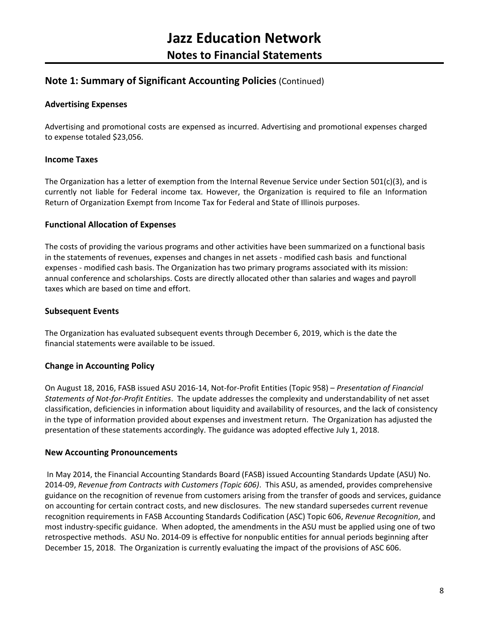## **Note 1: Summary of Significant Accounting Policies** (Continued)

#### **Advertising Expenses**

Advertising and promotional costs are expensed as incurred. Advertising and promotional expenses charged to expense totaled \$23,056.

#### **Income Taxes**

The Organization has a letter of exemption from the Internal Revenue Service under Section 501(c)(3), and is currently not liable for Federal income tax. However, the Organization is required to file an Information Return of Organization Exempt from Income Tax for Federal and State of Illinois purposes.

#### **Functional Allocation of Expenses**

The costs of providing the various programs and other activities have been summarized on a functional basis in the statements of revenues, expenses and changes in net assets - modified cash basis and functional expenses - modified cash basis. The Organization has two primary programs associated with its mission: annual conference and scholarships. Costs are directly allocated other than salaries and wages and payroll taxes which are based on time and effort.

#### **Subsequent Events**

The Organization has evaluated subsequent events through December 6, 2019, which is the date the financial statements were available to be issued.

#### **Change in Accounting Policy**

On August 18, 2016, FASB issued ASU 2016-14, Not-for-Profit Entities (Topic 958) – *Presentation of Financial Statements of Not-for-Profit Entities*. The update addresses the complexity and understandability of net asset classification, deficiencies in information about liquidity and availability of resources, and the lack of consistency in the type of information provided about expenses and investment return. The Organization has adjusted the presentation of these statements accordingly. The guidance was adopted effective July 1, 2018.

#### **New Accounting Pronouncements**

 In May 2014, the Financial Accounting Standards Board (FASB) issued Accounting Standards Update (ASU) No. 2014-09, *Revenue from Contracts with Customers (Topic 606)*. This ASU, as amended, provides comprehensive guidance on the recognition of revenue from customers arising from the transfer of goods and services, guidance on accounting for certain contract costs, and new disclosures. The new standard supersedes current revenue recognition requirements in FASB Accounting Standards Codification (ASC) Topic 606, *Revenue Recognition*, and most industry-specific guidance. When adopted, the amendments in the ASU must be applied using one of two retrospective methods. ASU No. 2014-09 is effective for nonpublic entities for annual periods beginning after December 15, 2018. The Organization is currently evaluating the impact of the provisions of ASC 606.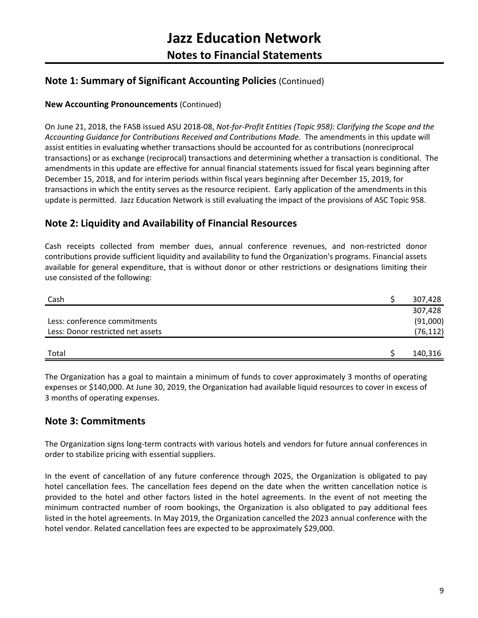## **Note 1: Summary of Significant Accounting Policies** (Continued)

#### **New Accounting Pronouncements** (Continued)

On June 21, 2018, the FASB issued ASU 2018-08, *Not-for-Profit Entities (Topic 958): Clarifying the Scope and the Accounting Guidance for Contributions Received and Contributions Made*. The amendments in this update will assist entities in evaluating whether transactions should be accounted for as contributions (nonreciprocal transactions) or as exchange (reciprocal) transactions and determining whether a transaction is conditional. The amendments in this update are effective for annual financial statements issued for fiscal years beginning after December 15, 2018, and for interim periods within fiscal years beginning after December 15, 2019, for transactions in which the entity serves as the resource recipient. Early application of the amendments in this update is permitted. Jazz Education Network is still evaluating the impact of the provisions of ASC Topic 958.

### **Note 2: Liquidity and Availability of Financial Resources**

Cash receipts collected from member dues, annual conference revenues, and non-restricted donor contributions provide sufficient liquidity and availability to fund the Organization's programs. Financial assets available for general expenditure, that is without donor or other restrictions or designations limiting their use consisted of the following:

| Cash                              | 307,428   |
|-----------------------------------|-----------|
|                                   | 307,428   |
| Less: conference commitments      | (91,000)  |
| Less: Donor restricted net assets | (76, 112) |
|                                   |           |
| Total                             | 140,316   |

The Organization has a goal to maintain a minimum of funds to cover approximately 3 months of operating expenses or \$140,000. At June 30, 2019, the Organization had available liquid resources to cover in excess of 3 months of operating expenses.

### **Note 3: Commitments**

The Organization signs long-term contracts with various hotels and vendors for future annual conferences in order to stabilize pricing with essential suppliers.

In the event of cancellation of any future conference through 2025, the Organization is obligated to pay hotel cancellation fees. The cancellation fees depend on the date when the written cancellation notice is provided to the hotel and other factors listed in the hotel agreements. In the event of not meeting the minimum contracted number of room bookings, the Organization is also obligated to pay additional fees listed in the hotel agreements. In May 2019, the Organization cancelled the 2023 annual conference with the hotel vendor. Related cancellation fees are expected to be approximately \$29,000.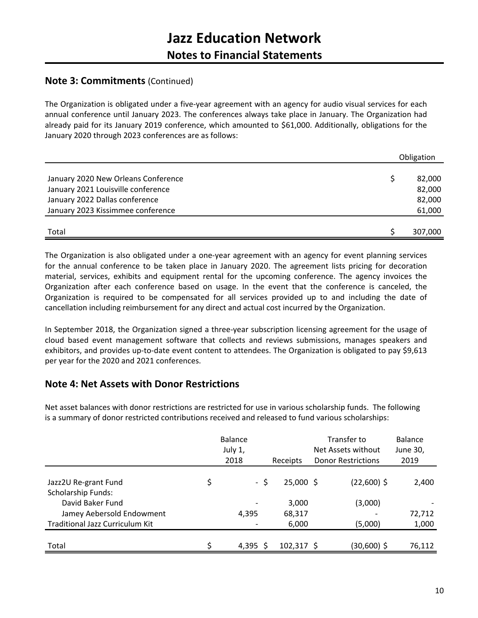### **Note 3: Commitments** (Continued)

The Organization is obligated under a five-year agreement with an agency for audio visual services for each annual conference until January 2023. The conferences always take place in January. The Organization had already paid for its January 2019 conference, which amounted to \$61,000. Additionally, obligations for the January 2020 through 2023 conferences are as follows:

|                                     | Obligation |
|-------------------------------------|------------|
| January 2020 New Orleans Conference | 82,000     |
| January 2021 Louisville conference  | 82,000     |
| January 2022 Dallas conference      | 82,000     |
| January 2023 Kissimmee conference   | 61,000     |
|                                     |            |
| Total                               | 307,000    |

The Organization is also obligated under a one-year agreement with an agency for event planning services for the annual conference to be taken place in January 2020. The agreement lists pricing for decoration material, services, exhibits and equipment rental for the upcoming conference. The agency invoices the Organization after each conference based on usage. In the event that the conference is canceled, the Organization is required to be compensated for all services provided up to and including the date of cancellation including reimbursement for any direct and actual cost incurred by the Organization.

In September 2018, the Organization signed a three-year subscription licensing agreement for the usage of cloud based event management software that collects and reviews submissions, manages speakers and exhibitors, and provides up-to-date event content to attendees. The Organization is obligated to pay \$9,613 per year for the 2020 and 2021 conferences.

## **Note 4: Net Assets with Donor Restrictions**

Net asset balances with donor restrictions are restricted for use in various scholarship funds. The following is a summary of donor restricted contributions received and released to fund various scholarships:

|                                               | <b>Balance</b>           |              | Transfer to               | Balance  |
|-----------------------------------------------|--------------------------|--------------|---------------------------|----------|
|                                               | July 1,                  |              | Net Assets without        | June 30, |
|                                               | 2018                     | Receipts     | <b>Donor Restrictions</b> | 2019     |
| Jazz2U Re-grant Fund                          | \$<br>- \$               | $25,000$ \$  | (22,600) \$               | 2,400    |
| <b>Scholarship Funds:</b><br>David Baker Fund | $\overline{\phantom{0}}$ | 3,000        | (3,000)                   |          |
| Jamey Aebersold Endowment                     | 4,395                    | 68,317       |                           | 72,712   |
| <b>Traditional Jazz Curriculum Kit</b>        |                          | 6,000        | (5,000)                   | 1,000    |
|                                               |                          |              |                           |          |
| Total                                         | 4,395 \$                 | $102,317$ \$ | (30,600) \$               | 76,112   |